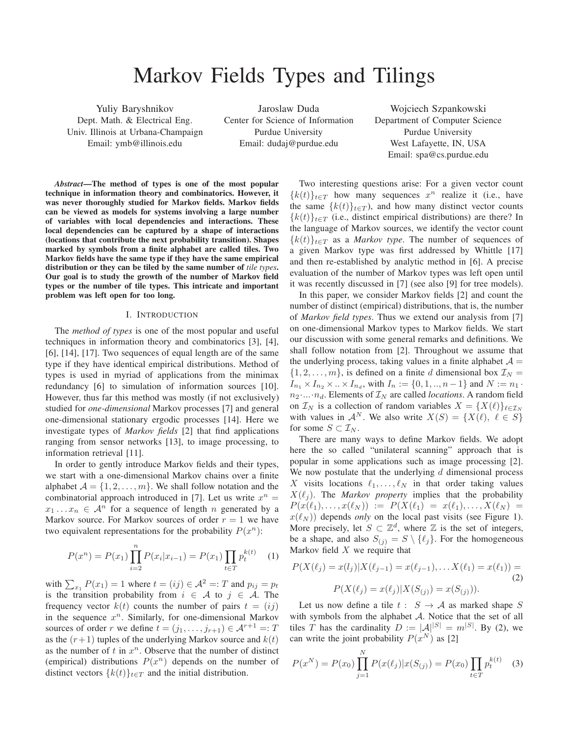# Markov Fields Types and Tilings

Yuliy Baryshnikov Dept. Math. & Electrical Eng. Univ. Illinois at Urbana-Champaign Email: ymb@illinois.edu

Jaroslaw Duda Center for Science of Information Purdue University Email: dudaj@purdue.edu

Wojciech Szpankowski Department of Computer Science Purdue University West Lafayette, IN, USA Email: spa@cs.purdue.edu

*Abstract*—The method of types is one of the most popular technique in information theory and combinatorics. However, it was never thoroughly studied for Markov fields. Markov fields can be viewed as models for systems involving a large number of variables with local dependencies and interactions. These local dependencies can be captured by a shape of interactions (locations that contribute the next probability transition). Shapes marked by symbols from a finite alphabet are called tiles. Two Markov fields have the same type if they have the same empirical distribution or they can be tiled by the same number of *tile types*. Our goal is to study the growth of the number of Markov field types or the number of tile types. This intricate and important problem was left open for too long.

#### I. INTRODUCTION

The *method of types* is one of the most popular and useful techniques in information theory and combinatorics [3], [4], [6], [14], [17]. Two sequences of equal length are of the same type if they have identical empirical distributions. Method of types is used in myriad of applications from the minimax redundancy [6] to simulation of information sources [10]. However, thus far this method was mostly (if not exclusively) studied for *one-dimensional* Markov processes [7] and general one-dimensional stationary ergodic processes [14]. Here we investigate types of *Markov fields* [2] that find applications ranging from sensor networks [13], to image processing, to information retrieval [11].

In order to gently introduce Markov fields and their types, we start with a one-dimensional Markov chains over a finite alphabet  $A = \{1, 2, \ldots, m\}$ . We shall follow notation and the combinatorial approach introduced in [7]. Let us write  $x^n =$  $x_1 \ldots x_n \in \mathcal{A}^n$  for a sequence of length n generated by a Markov source. For Markov sources of order  $r = 1$  we have two equivalent representations for the probability  $P(x^n)$ :

$$
P(x^n) = P(x_1) \prod_{i=2}^{n} P(x_i | x_{i-1}) = P(x_1) \prod_{t \in T} p_t^{k(t)} \quad (1)
$$

with  $\sum_{x_1} P(x_1) = 1$  where  $t = (ij) \in \mathcal{A}^2 = T$  and  $p_{ij} = p_t$ is the transition probability from  $i \in \mathcal{A}$  to  $j \in \mathcal{A}$ . The frequency vector  $k(t)$  counts the number of pairs  $t = (ij)$ in the sequence  $x^n$ . Similarly, for one-dimensional Markov sources of order r we define  $t = (j_1, \ldots, j_{r+1}) \in \mathcal{A}^{r+1} =: T$ as the  $(r+1)$  tuples of the underlying Markov source and  $k(t)$ as the number of  $t$  in  $x^n$ . Observe that the number of distinct (empirical) distributions  $P(x^n)$  depends on the number of distinct vectors  $\{k(t)\}_{t\in T}$  and the initial distribution.

Two interesting questions arise: For a given vector count  ${k(t)}_{t \in T}$  how many sequences  $x^n$  realize it (i.e., have the same  ${k(t)}_{t\in T}$ , and how many distinct vector counts  ${k(t)}_{t\in T}$  (i.e., distinct empirical distributions) are there? In the language of Markov sources, we identify the vector count  ${k(t)}_{t\in T}$  as a *Markov type*. The number of sequences of a given Markov type was first addressed by Whittle [17] and then re-established by analytic method in [6]. A precise evaluation of the number of Markov types was left open until it was recently discussed in [7] (see also [9] for tree models).

In this paper, we consider Markov fields [2] and count the number of distinct (empirical) distributions, that is, the number of *Markov field types*. Thus we extend our analysis from [7] on one-dimensional Markov types to Markov fields. We start our discussion with some general remarks and definitions. We shall follow notation from [2]. Throughout we assume that the underlying process, taking values in a finite alphabet  $A =$  $\{1, 2, \ldots, m\}$ , is defined on a finite d dimensional box  $\mathcal{I}_N =$  $I_{n_1} \times I_{n_2} \times ... \times I_{n_d}$ , with  $I_n := \{0, 1, ..., n-1\}$  and  $N := n_1 \cdot ...$  $n_2 \cdot ... \cdot n_d$ . Elements of  $\mathcal{I}_N$  are called *locations*. A random field on  $\mathcal{I}_N$  is a collection of random variables  $X = \{X(\ell)\}_{\ell \in \mathcal{I}_N}$ with values in  $\mathcal{A}^N$ . We also write  $X(S) = \{X(\ell), \ell \in S\}$ for some  $S \subset \mathcal{I}_N$ .

There are many ways to define Markov fields. We adopt here the so called "unilateral scanning" approach that is popular in some applications such as image processing [2]. We now postulate that the underlying  $d$  dimensional process X visits locations  $\ell_1, \ldots, \ell_N$  in that order taking values  $X(\ell_i)$ . The *Markov property* implies that the probability  $P(x(\ell_1), \ldots, x(\ell_N)) := P(X(\ell_1) = x(\ell_1), \ldots, X(\ell_N) =$  $x(\ell_N)$ ) depends *only* on the local past visits (see Figure 1). More precisely, let  $S \subset \mathbb{Z}^d$ , where  $\mathbb Z$  is the set of integers, be a shape, and also  $S_{(j)} = S \setminus \{ \ell_j \}.$  For the homogeneous Markov field  $X$  we require that

$$
P(X(\ell_j) = x(l_j)|X(\ell_{j-1}) = x(\ell_{j-1}), \dots X(\ell_1) = x(\ell_1)) =
$$
  
\n
$$
P(X(\ell_j) = x(\ell_j)|X(S_{(j)}) = x(S_{(j)})).
$$
\n(2)

Let us now define a tile  $t : S \rightarrow A$  as marked shape S with symbols from the alphabet  $A$ . Notice that the set of all tiles T has the cardinality  $D := |\mathcal{A}|^{|S|} = m^{|S|}$ . By (2), we can write the joint probability  $P(x^N)$  as [2]

$$
P(x^N) = P(x_0) \prod_{j=1}^{N} P(x(\ell_j) | x(S_{(j)}) = P(x_0) \prod_{t \in T} p_t^{k(t)} \quad (3)
$$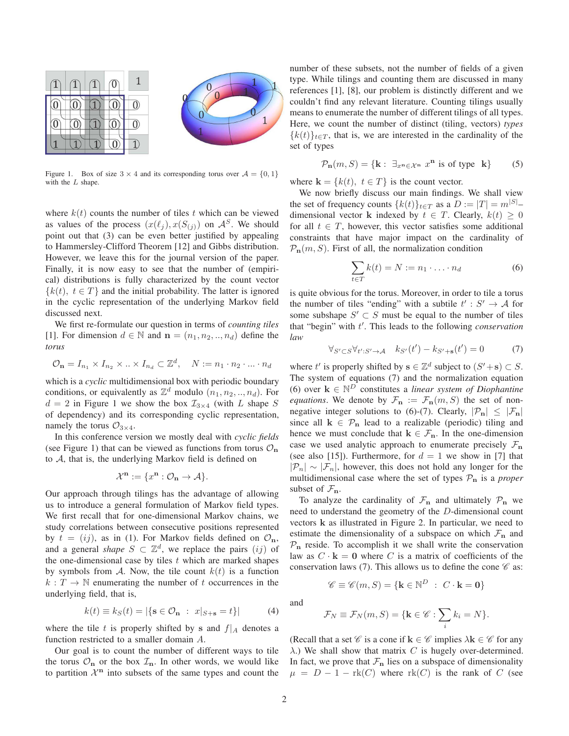

Figure 1. Box of size  $3 \times 4$  and its corresponding torus over  $\mathcal{A} = \{0, 1\}$ with the  $L$  shape.

where  $k(t)$  counts the number of tiles t which can be viewed as values of the process  $(x(\ell_j), x(S_{(j)})$  on  $\mathcal{A}^S$ . We should point out that (3) can be even better justified by appealing to Hammersley-Clifford Theorem [12] and Gibbs distribution. However, we leave this for the journal version of the paper. Finally, it is now easy to see that the number of (empirical) distributions is fully characterized by the count vector  ${k(t), t \in T}$  and the initial probability. The latter is ignored in the cyclic representation of the underlying Markov field discussed next.

We first re-formulate our question in terms of *counting tiles* [1]. For dimension  $d \in \mathbb{N}$  and  $\mathbf{n} = (n_1, n_2, ..., n_d)$  define the *torus*

$$
\mathcal{O}_{\mathbf{n}}=I_{n_1}\times I_{n_2}\times..\times I_{n_d}\subset\mathbb{Z}^d,\quad N:=n_1\cdot n_2\cdot...\cdot n_d
$$

which is a *cyclic* multidimensional box with periodic boundary conditions, or equivalently as  $\mathbb{Z}^d$  modulo  $(n_1, n_2, \ldots, n_d)$ . For  $d = 2$  in Figure 1 we show the box  $\mathcal{I}_{3 \times 4}$  (with L shape S of dependency) and its corresponding cyclic representation, namely the torus  $\mathcal{O}_{3\times 4}$ .

In this conference version we mostly deal with *cyclic fields* (see Figure 1) that can be viewed as functions from torus  $\mathcal{O}_n$ to A, that is, the underlying Markov field is defined on

$$
\mathcal{X}^n := \{x^n : \mathcal{O}_n \to \mathcal{A}\}.
$$

Our approach through tilings has the advantage of allowing us to introduce a general formulation of Markov field types. We first recall that for one-dimensional Markov chains, we study correlations between consecutive positions represented by  $t = (ij)$ , as in (1). For Markov fields defined on  $\mathcal{O}_n$ , and a general *shape*  $S \subset \mathbb{Z}^d$ , we replace the pairs  $(ij)$  of the one-dimensional case by tiles  $t$  which are marked shapes by symbols from A. Now, the tile count  $k(t)$  is a function  $k: T \to \mathbb{N}$  enumerating the number of t occurrences in the underlying field, that is,

$$
k(t) \equiv k_S(t) = |\{ \mathbf{s} \in \mathcal{O}_{\mathbf{n}} : x|_{S+\mathbf{s}} = t \}| \tag{4}
$$

where the tile t is properly shifted by s and  $f|_A$  denotes a function restricted to a smaller domain A.

Our goal is to count the number of different ways to tile the torus  $\mathcal{O}_n$  or the box  $\mathcal{I}_n$ . In other words, we would like to partition  $\mathcal{X}^n$  into subsets of the same types and count the number of these subsets, not the number of fields of a given type. While tilings and counting them are discussed in many references [1], [8], our problem is distinctly different and we couldn't find any relevant literature. Counting tilings usually means to enumerate the number of different tilings of all types. Here, we count the number of distinct (tiling, vectors) *types*  ${k(t)}_{t\in T}$ , that is, we are interested in the cardinality of the set of types

$$
\mathcal{P}_{\mathbf{n}}(m, S) = \{ \mathbf{k} : \exists_{x^n \in \mathcal{X}^{\mathbf{n}}} x^n \text{ is of type } \mathbf{k} \}
$$
 (5)

where  $\mathbf{k} = \{k(t), t \in T\}$  is the count vector.

We now briefly discuss our main findings. We shall view the set of frequency counts  $\{k(t)\}_{t\in T}$  as a  $D := |T| = m^{|S|} - 1$ dimensional vector **k** indexed by  $t \in T$ . Clearly,  $k(t) \geq 0$ for all  $t \in T$ , however, this vector satisfies some additional constraints that have major impact on the cardinality of  $\mathcal{P}_{\mathbf{n}}(m, S)$ . First of all, the normalization condition

$$
\sum_{t \in T} k(t) = N := n_1 \cdot \ldots \cdot n_d \tag{6}
$$

is quite obvious for the torus. Moreover, in order to tile a torus the number of tiles "ending" with a subtile  $t' : S' \to A$  for some subshape  $S' \subset S$  must be equal to the number of tiles that "begin" with t ′ . This leads to the following *conservation law*

$$
\forall_{S' \subset S} \forall_{t':S' \to A} \quad k_{S'}(t') - k_{S' + \mathbf{s}}(t') = 0 \tag{7}
$$

where t' is properly shifted by  $\mathbf{s} \in \mathbb{Z}^d$  subject to  $(S' + \mathbf{s}) \subset S$ . The system of equations (7) and the normalization equation (6) over k ∈ N <sup>D</sup> constitutes a *linear system of Diophantine equations*. We denote by  $\mathcal{F}_n := \mathcal{F}_n(m, S)$  the set of nonnegative integer solutions to (6)-(7). Clearly,  $|\mathcal{P}_n| \leq |\mathcal{F}_n|$ since all  $k \in \mathcal{P}_n$  lead to a realizable (periodic) tiling and hence we must conclude that  $k \in \mathcal{F}_n$ . In the one-dimension case we used analytic approach to enumerate precisely  $\mathcal{F}_n$ (see also [15]). Furthermore, for  $d = 1$  we show in [7] that  $|\mathcal{P}_n| \sim |\mathcal{F}_n|$ , however, this does not hold any longer for the multidimensional case where the set of types  $P_n$  is a *proper* subset of  $\mathcal{F}_n$ .

To analyze the cardinality of  $\mathcal{F}_n$  and ultimately  $\mathcal{P}_n$  we need to understand the geometry of the D-dimensional count vectors k as illustrated in Figure 2. In particular, we need to estimate the dimensionality of a subspace on which  $\mathcal{F}_n$  and  $P_n$  reside. To accomplish it we shall write the conservation law as  $C \cdot \mathbf{k} = \mathbf{0}$  where C is a matrix of coefficients of the conservation laws (7). This allows us to define the cone  $\mathscr C$  as:

and

$$
\mathcal{F}_N \equiv \mathcal{F}_N(m, S) = \{ \mathbf{k} \in \mathscr{C} : \sum_i k_i = N \}.
$$

 $\mathscr{C} \equiv \mathscr{C}(m, S) = \{ \mathbf{k} \in \mathbb{N}^D \; : \; C \cdot \mathbf{k} = \mathbf{0} \}$ 

(Recall that a set  $\mathscr C$  is a cone if  $k \in \mathscr C$  implies  $\lambda k \in \mathscr C$  for any  $\lambda$ .) We shall show that matrix C is hugely over-determined. In fact, we prove that  $\mathcal{F}_n$  lies on a subspace of dimensionality  $\mu = D - 1 - \text{rk}(C)$  where  $\text{rk}(C)$  is the rank of C (see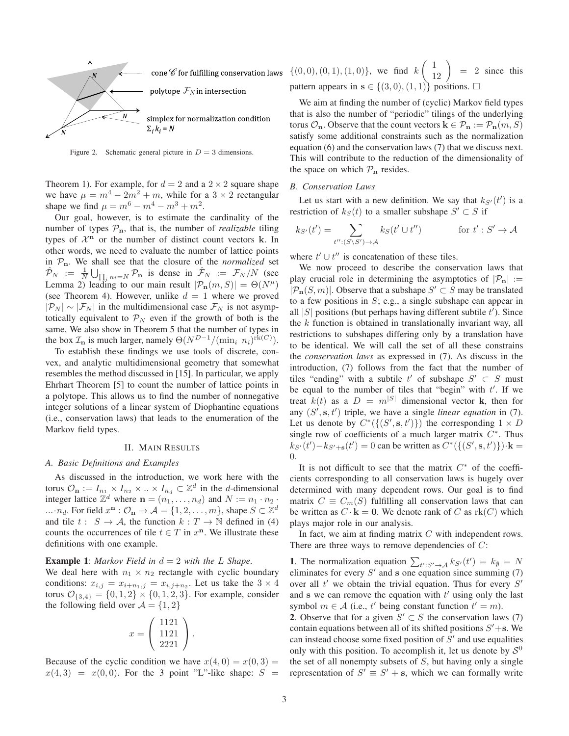

Figure 2. Schematic general picture in  $D = 3$  dimensions.

Theorem 1). For example, for  $d = 2$  and a  $2 \times 2$  square shape we have  $\mu = m^4 - 2m^2 + m$ , while for a  $3 \times 2$  rectangular shape we find  $\mu = m^6 - m^4 - m^3 + m^2$ .

Our goal, however, is to estimate the cardinality of the number of types  $P_n$ , that is, the number of *realizable* tiling types of  $\mathcal{X}^n$  or the number of distinct count vectors k. In other words, we need to evaluate the number of lattice points in  $P_n$ . We shall see that the closure of the *normalized* set  $\hat{\mathcal{P}}_N \;:=\; \frac{1}{N}\bigcup_{\prod_i n_i=N} \mathcal{P}_{\bf n}$  is dense in  $\hat{\mathcal{F}}_N \;:=\; \mathcal{F}_N/N$  (see Lemma 2) leading to our main result  $|\mathcal{P}_n(m, S)| = \Theta(N^{\mu})$ (see Theorem 4). However, unlike  $d = 1$  where we proved  $|\mathcal{P}_N| \sim |\mathcal{F}_N|$  in the multidimensional case  $\mathcal{F}_N$  is not asymptotically equivalent to  $\mathcal{P}_N$  even if the growth of both is the same. We also show in Theorem 5 that the number of types in the box  $\mathcal{I}_n$  is much larger, namely  $\Theta(N^{D-1}/(\min_i n_i)^{\text{rk}(C)})$ .

To establish these findings we use tools of discrete, convex, and analytic multidimensional geometry that somewhat resembles the method discussed in [15]. In particular, we apply Ehrhart Theorem [5] to count the number of lattice points in a polytope. This allows us to find the number of nonnegative integer solutions of a linear system of Diophantine equations (i.e., conservation laws) that leads to the enumeration of the Markov field types.

#### II. MAIN RESULTS

#### *A. Basic Definitions and Examples*

As discussed in the introduction, we work here with the torus  $\mathcal{O}_n := I_{n_1} \times I_{n_2} \times ... \times I_{n_d} \subset \mathbb{Z}^d$  in the *d*-dimensional integer lattice  $\mathbb{Z}^d$  where  $\mathbf{n} = (n_1, \dots, n_d)$  and  $N := n_1 \cdot n_2 \cdot$ ...  $n_d$ . For field  $x^n : \mathcal{O}_n \to \mathcal{A} = \{1, 2, ..., m\}$ , shape  $S \subset \mathbb{Z}^d$ and tile  $t : S \to A$ , the function  $k : T \to \mathbb{N}$  defined in (4) counts the occurrences of tile  $t \in T$  in  $x^n$ . We illustrate these definitions with one example.

**Example 1:** *Markov Field in*  $d = 2$  *with the L Shape.* 

We deal here with  $n_1 \times n_2$  rectangle with cyclic boundary conditions:  $x_{i,j} = x_{i+n_1,j} = x_{i,j+n_2}$ . Let us take the  $3 \times 4$ torus  $\mathcal{O}_{\{3,4\}} = \{0,1,2\} \times \{0,1,2,3\}$ . For example, consider the following field over  $A = \{1, 2\}$ 

$$
x = \left(\begin{array}{c} 1121 \\ 1121 \\ 2221 \end{array}\right).
$$

Because of the cyclic condition we have  $x(4, 0) = x(0, 3) =$  $x(4,3) = x(0,0)$ . For the 3 point "L"-like shape:  $S =$ 

 $\{(0,0), (0,1), (1,0)\}\$ , we find  $k\begin{pmatrix} 1 \\ 12 \end{pmatrix} = 2$  since this pattern appears in  $s \in \{(3,0), (1,1)\}$  positions.  $\Box$ 

We aim at finding the number of (cyclic) Markov field types that is also the number of "periodic" tilings of the underlying torus  $\mathcal{O}_{\mathbf{n}}$ . Observe that the count vectors  $\mathbf{k} \in \mathcal{P}_{\mathbf{n}} := \mathcal{P}_{\mathbf{n}}(m, S)$ satisfy some additional constraints such as the normalization equation (6) and the conservation laws (7) that we discuss next. This will contribute to the reduction of the dimensionality of the space on which  $P_n$  resides.

#### *B. Conservation Laws*

Let us start with a new definition. We say that  $k_{S'}(t')$  is a restriction of  $k_S(t)$  to a smaller subshape  $S' \subset S$  if

$$
k_{S'}(t') = \sum_{t'' : (S \setminus S') \to \mathcal{A}} k_S(t' \cup t'')
$$
 for  $t' : S' \to \mathcal{A}$ 

where  $t' \cup t''$  is concatenation of these tiles.

We now proceed to describe the conservation laws that play crucial role in determining the asymptotics of  $|\mathcal{P}_n| :=$  $|\mathcal{P}_n(S,m)|$ . Observe that a subshape  $S' \subset S$  may be translated to a few positions in  $S$ ; e.g., a single subshape can appear in all  $|S|$  positions (but perhaps having different subtile  $t'$ ). Since the  $k$  function is obtained in translationally invariant way, all restrictions to subshapes differing only by a translation have to be identical. We will call the set of all these constrains the *conservation laws* as expressed in (7). As discuss in the introduction, (7) follows from the fact that the number of tiles "ending" with a subtile  $t'$  of subshape  $S' \subset S$  must be equal to the number of tiles that "begin" with  $t'$ . If we treat  $k(t)$  as a  $D = m^{|S|}$  dimensional vector **k**, then for any  $(S', s, t')$  triple, we have a single *linear equation* in (7). Let us denote by  $C^*(\{(S', \mathbf{s}, t')\})$  the corresponding  $1 \times D$ single row of coefficients of a much larger matrix  $C^*$ . Thus  $k_{S'}(t') - k_{S'+s}(t') = 0$  can be written as  $C^*(\{(S', s, t')\}) \cdot k =$ 0.

It is not difficult to see that the matrix  $C^*$  of the coefficients corresponding to all conservation laws is hugely over determined with many dependent rows. Our goal is to find matrix  $C \equiv C_m(S)$  fulfilling all conservation laws that can be written as  $C \cdot \mathbf{k} = \mathbf{0}$ . We denote rank of C as  $rk(C)$  which plays major role in our analysis.

In fact, we aim at finding matrix  $C$  with independent rows. There are three ways to remove dependencies of  $C$ :

**1.** The normalization equation  $\sum_{t': S' \to A} k_{S'}(t') = k_{\emptyset} = N$ eliminates for every  $S'$  and s one equation since summing (7) over all  $t'$  we obtain the trivial equation. Thus for every  $S'$ and s we can remove the equation with  $t'$  using only the last symbol  $m \in A$  (i.e.,  $t'$  being constant function  $t' = m$ ).

2. Observe that for a given  $S' \subset S$  the conservation laws (7) contain equations between all of its shifted positions  $S' + s$ . We can instead choose some fixed position of  $S'$  and use equalities only with this position. To accomplish it, let us denote by  $S^0$ the set of all nonempty subsets of  $S$ , but having only a single representation of  $S' \equiv S' + s$ , which we can formally write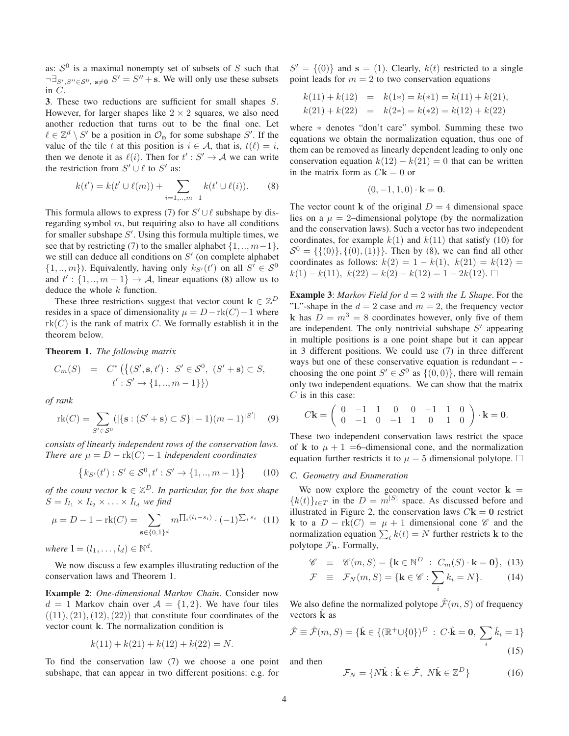as:  $S^0$  is a maximal nonempty set of subsets of S such that  $\neg \exists_{S',S'' \in \mathcal{S}^0, s \neq 0} S' = S'' + s$ . We will only use these subsets in C.

3. These two reductions are sufficient for small shapes S. However, for larger shapes like  $2 \times 2$  squares, we also need another reduction that turns out to be the final one. Let  $\ell \in \mathbb{Z}^d \setminus S'$  be a position in  $\mathcal{O}_n$  for some subshape S'. If the value of the tile t at this position is  $i \in A$ , that is,  $t(\ell) = i$ , then we denote it as  $\ell(i)$ . Then for  $t': S' \to A$  we can write the restriction from  $S' \cup \ell$  to  $S'$  as:

$$
k(t') = k(t' \cup \ell(m)) + \sum_{i=1,\dots,m-1} k(t' \cup \ell(i)).
$$
 (8)

This formula allows to express (7) for  $S' \cup \ell$  subshape by disregarding symbol  $m$ , but requiring also to have all conditions for smaller subshape  $S'$ . Using this formula multiple times, we see that by restricting (7) to the smaller alphabet  $\{1, \ldots, m-1\}$ , we still can deduce all conditions on  $S'$  (on complete alphabet  $\{1, ..., m\}$ ). Equivalently, having only  $k_{S'}(t')$  on all  $S' \in S^0$ and  $t' : \{1, ..., m-1\} \rightarrow A$ , linear equations (8) allow us to deduce the whole  $k$  function.

These three restrictions suggest that vector count  $\mathbf{k} \in \mathbb{Z}^D$ resides in a space of dimensionality  $\mu = D - \text{rk}(C) - 1$  where  $rk(C)$  is the rank of matrix C. We formally establish it in the theorem below.

Theorem 1. *The following matrix*

$$
C_m(S) = C^* \left( \{ (S', \mathbf{s}, t') : S' \in S^0, (S' + \mathbf{s}) \subset S, t' : S' \to \{1, ..., m - 1\} \} \right)
$$

*of rank*

$$
rk(C) = \sum_{S' \in \mathcal{S}^0} (|\{\mathbf{s} : (S' + \mathbf{s}) \subset S\}| - 1)(m - 1)^{|S'|} \tag{9}
$$

*consists of linearly independent rows of the conservation laws. There are*  $\mu = D - \text{rk}(C) - 1$  *independent coordinates* 

$$
\{k_{S'}(t'): S' \in \mathcal{S}^0, t': S' \to \{1, ..., m-1\}\}\qquad(10)
$$

*of the count vector*  $\mathbf{k} \in \mathbb{Z}^D$ . In particular, for the box shape  $S = I_{l_1} \times I_{l_2} \times \ldots \times I_{l_d}$  we find

$$
\mu = D - 1 - \text{rk}(C) = \sum_{\mathbf{s} \in \{0, 1\}^d} m^{\prod_i (l_i - s_i)} \cdot (-1)^{\sum_i s_i} \tag{11}
$$

*where*  $\mathbf{l} = (l_1, \ldots, l_d) \in \mathbb{N}^d$ .

We now discuss a few examples illustrating reduction of the conservation laws and Theorem 1.

Example 2: *One-dimensional Markov Chain*. Consider now  $d = 1$  Markov chain over  $A = \{1, 2\}$ . We have four tiles  $((11),(21),(12),(22))$  that constitute four coordinates of the vector count k. The normalization condition is

$$
k(11) + k(21) + k(12) + k(22) = N.
$$

To find the conservation law (7) we choose a one point subshape, that can appear in two different positions: e.g. for

 $S' = \{(0)\}\$ and  $s = (1)$ . Clearly,  $k(t)$  restricted to a single point leads for  $m = 2$  to two conservation equations

$$
k(11) + k(12) = k(1*) = k(*) = k(11) + k(21),
$$
  
\n
$$
k(21) + k(22) = k(2*) = k(*2) = k(12) + k(22)
$$

where ∗ denotes "don't care" symbol. Summing these two equations we obtain the normalization equation, thus one of them can be removed as linearly dependent leading to only one conservation equation  $k(12) - k(21) = 0$  that can be written in the matrix form as  $C\mathbf{k} = 0$  or

$$
(0,-1,1,0)\cdot\mathbf{k=0}.
$$

The vector count **k** of the original  $D = 4$  dimensional space lies on a  $\mu = 2$ –dimensional polytope (by the normalization and the conservation laws). Such a vector has two independent coordinates, for example  $k(1)$  and  $k(11)$  that satisfy (10) for  $S^0 = \{\{(0)\}, \{(0), (1)\}\}\.$  Then by (8), we can find all other coordinates as follows:  $k(2) = 1 - k(1)$ ,  $k(21) = k(12) =$  $k(1) - k(11), k(22) = k(2) - k(12) = 1 - 2k(12).$ 

**Example 3:** *Markov Field for*  $d = 2$  *with the L Shape*. For the "L"-shape in the  $d = 2$  case and  $m = 2$ , the frequency vector k has  $D = m<sup>3</sup> = 8$  coordinates however, only five of them are independent. The only nontrivial subshape  $S'$  appearing in multiple positions is a one point shape but it can appear in 3 different positions. We could use (7) in three different ways but one of these conservative equation is redundant – choosing the one point  $S' \in S^0$  as  $\{(0,0)\}\)$ , there will remain only two independent equations. We can show that the matrix  $C$  is in this case:

$$
C\mathbf{k} = \left(\begin{array}{cccccc} 0 & -1 & 1 & 0 & 0 & -1 & 1 & 0 \\ 0 & -1 & 0 & -1 & 1 & 0 & 1 & 0 \end{array}\right) \cdot \mathbf{k} = \mathbf{0}.
$$

These two independent conservation laws restrict the space of k to  $\mu + 1 = 6$ -dimensional cone, and the normalization equation further restricts it to  $\mu = 5$  dimensional polytope.  $\Box$ 

## *C. Geometry and Enumeration*

We now explore the geometry of the count vector  $k =$  ${k(t)}_{t \in T}$  in the  $D = m^{|S|}$  space. As discussed before and illustrated in Figure 2, the conservation laws  $C<sub>k</sub> = 0$  restrict k to a  $D - \text{rk}(C) = \mu + 1$  dimensional cone  $\mathscr C$  and the normalization equation  $\sum_{t} k(t) = N$  further restricts **k** to the polytope  $\mathcal{F}_n$ . Formally,

$$
\mathcal{C} \equiv \mathcal{C}(m, S) = \{ \mathbf{k} \in \mathbb{N}^D : C_m(S) \cdot \mathbf{k} = \mathbf{0} \}, \tag{13}
$$

$$
\mathcal{F} \equiv \mathcal{F}_N(m, S) = \{ \mathbf{k} \in \mathcal{C} : \sum_i k_i = N \}. \tag{14}
$$

We also define the normalized polytope  $\mathcal{F}(m, S)$  of frequency vectors  $\bf{k}$  as

$$
\hat{\mathcal{F}} \equiv \hat{\mathcal{F}}(m, S) = \{ \hat{\mathbf{k}} \in \{ (\mathbb{R}^+ \cup \{0\})^D : C \cdot \hat{\mathbf{k}} = \mathbf{0}, \sum_i \hat{k}_i = 1 \}
$$
\n(15)

and then

$$
\mathcal{F}_N = \{ N\hat{\mathbf{k}} : \hat{\mathbf{k}} \in \hat{\mathcal{F}}, \ N\hat{\mathbf{k}} \in \mathbb{Z}^D \}
$$
 (16)